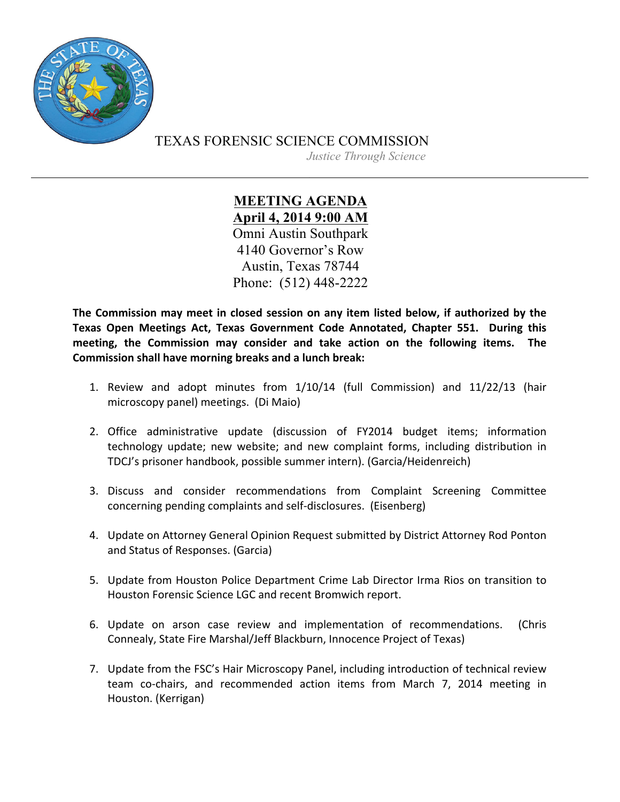

TEXAS FORENSIC SCIENCE COMMISSION

*Justice Through Science*

**MEETING AGENDA April 4, 2014 9:00 AM** Omni Austin Southpark 4140 Governor's Row Austin, Texas 78744 Phone: (512) 448-2222

The Commission may meet in closed session on any item listed below, if authorized by the **Texas Open Meetings Act, Texas Government Code Annotated, Chapter 551. During this** meeting, the Commission may consider and take action on the following items. The **Commission shall have morning breaks and a lunch break:** 

- 1. Review and adopt minutes from 1/10/14 (full Commission) and 11/22/13 (hair microscopy panel) meetings. (Di Maio)
- 2. Office administrative update (discussion of FY2014 budget items; information technology update; new website; and new complaint forms, including distribution in TDCJ's prisoner handbook, possible summer intern). (Garcia/Heidenreich)
- 3. Discuss and consider recommendations from Complaint Screening Committee concerning pending complaints and self-disclosures. (Eisenberg)
- 4. Update on Attorney General Opinion Request submitted by District Attorney Rod Ponton and Status of Responses. (Garcia)
- 5. Update from Houston Police Department Crime Lab Director Irma Rios on transition to Houston Forensic Science LGC and recent Bromwich report.
- 6. Update on arson case review and implementation of recommendations. (Chris Connealy, State Fire Marshal/Jeff Blackburn, Innocence Project of Texas)
- 7. Update from the FSC's Hair Microscopy Panel, including introduction of technical review team co-chairs, and recommended action items from March 7, 2014 meeting in Houston. (Kerrigan)